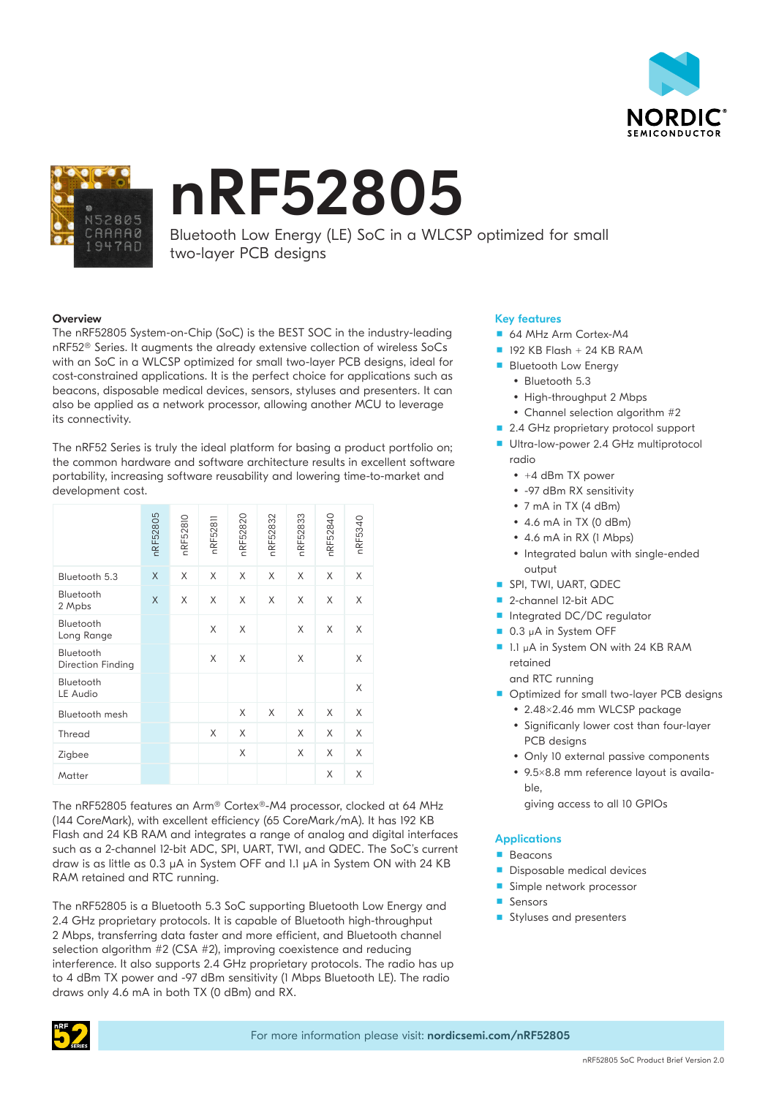



# nRF52805

Bluetooth Low Energy (LE) SoC in a WLCSP optimized for small two-layer PCB designs

## **Overview**

The nRF52805 System-on-Chip (SoC) is the BEST SOC in the industry-leading nRF52® Series. It augments the already extensive collection of wireless SoCs with an SoC in a WLCSP optimized for small two-layer PCB designs, ideal for cost-constrained applications. It is the perfect choice for applications such as beacons, disposable medical devices, sensors, styluses and presenters. It can also be applied as a network processor, allowing another MCU to leverage its connectivity.

The nRF52 Series is truly the ideal platform for basing a product portfolio on; the common hardware and software architecture results in excellent software portability, increasing software reusability and lowering time-to-market and development cost.

|                                | nRF52805 | nRF52810 | nRF52811 | nRF52820 | nRF52832 | nRF52833 | nRF52840 | nRF5340 |
|--------------------------------|----------|----------|----------|----------|----------|----------|----------|---------|
| Bluetooth 5.3                  | X        | X        | X        | X        | X        | X        | X        | X       |
| Bluetooth<br>2 Mpbs            | X        | X        | X        | X        | X        | X        | X        | X       |
| Bluetooth<br>Long Range        |          |          | X        | X        |          | X        | X        | X       |
| Bluetooth<br>Direction Finding |          |          | X        | X        |          | X        |          | X       |
| Bluetooth<br>LE Audio          |          |          |          |          |          |          |          | X       |
| Bluetooth mesh                 |          |          |          | X        | X        | X        | X        | X       |
| Thread                         |          |          | X        | X        |          | X        | X        | X       |
| Zigbee                         |          |          |          | X        |          | X        | X        | X       |
| Matter                         |          |          |          |          |          |          | X        | X       |

The nRF52805 features an Arm® Cortex®-M4 processor, clocked at 64 MHz (144 CoreMark), with excellent efficiency (65 CoreMark/mA). It has 192 KB Flash and 24 KB RAM and integrates a range of analog and digital interfaces such as a 2-channel 12-bit ADC, SPI, UART, TWI, and QDEC. The SoC's current draw is as little as 0.3 µA in System OFF and 1.1 µA in System ON with 24 KB RAM retained and RTC running.

The nRF52805 is a Bluetooth 5.3 SoC supporting Bluetooth Low Energy and 2.4 GHz proprietary protocols. It is capable of Bluetooth high-throughput 2 Mbps, transferring data faster and more efficient, and Bluetooth channel selection algorithm #2 (CSA #2), improving coexistence and reducing interference. It also supports 2.4 GHz proprietary protocols. The radio has up to 4 dBm TX power and -97 dBm sensitivity (1 Mbps Bluetooth LE). The radio draws only 4.6 mA in both TX (0 dBm) and RX.

## Key features

- 64 MHz Arm Cortex-M4
- $192$  KB Flash + 24 KB RAM
- **Bluetooth Low Energy**
- Bluetooth 5.3
- High-throughput 2 Mbps
- Channel selection algorithm #2
- 2.4 GHz proprietary protocol support
- Ultra-low-power 2.4 GHz multiprotocol radio
	- $\bullet$  +4 dBm TX power
	- -97 dBm RX sensitivity
	- 7 mA in TX (4 dBm)
	- $\cdot$  4.6 mA in TX (0 dBm)
	- 4.6 mA in RX (1 Mbps)
	- Integrated balun with single-ended output
- **SPI, TWI, UART, QDEC**
- 2-channel I2-bit ADC
- Integrated DC/DC regulator
- 0.3 µA in System OFF
- 1.1 µA in System ON with 24 KB RAM retained

and RTC running

- Optimized for small two-layer PCB designs
	- 2.48×2.46 mm WLCSP package
	- Significanly lower cost than four-layer PCB designs
	- Only 10 external passive components
	- 9.5×8.8 mm reference layout is available,
		- giving access to all 10 GPIOs

# **Applications**

- **Beacons**
- Disposable medical devices
- Simple network processor
- **Sensors**
- Styluses and presenters